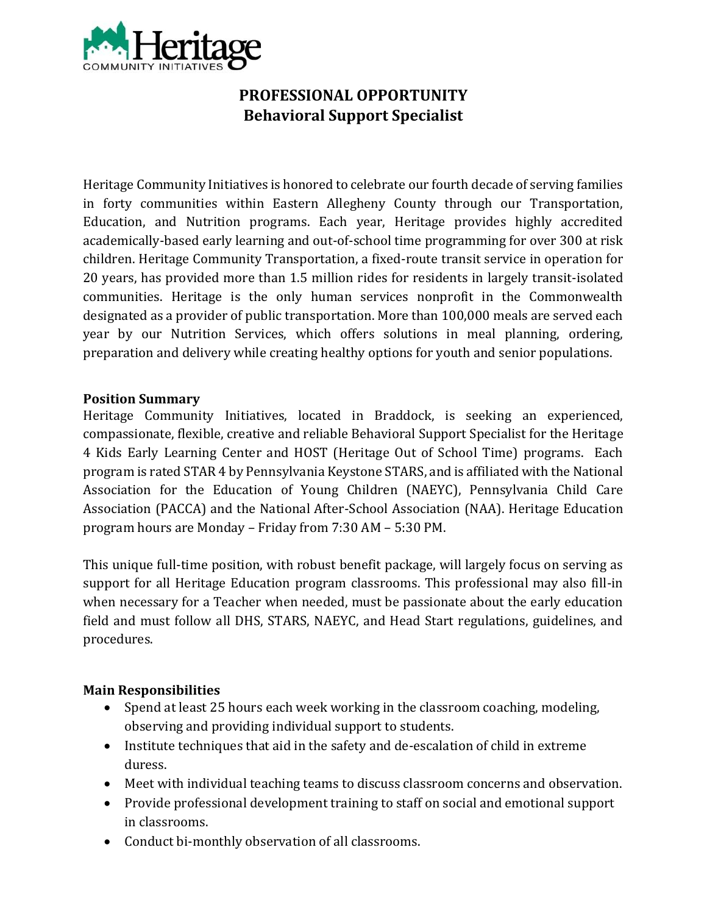

## **PROFESSIONAL OPPORTUNITY Behavioral Support Specialist**

Heritage Community Initiatives is honored to celebrate our fourth decade of serving families in forty communities within Eastern Allegheny County through our Transportation, Education, and Nutrition programs. Each year, Heritage provides highly accredited academically-based early learning and out-of-school time programming for over 300 at risk children. Heritage Community Transportation, a fixed-route transit service in operation for 20 years, has provided more than 1.5 million rides for residents in largely transit-isolated communities. Heritage is the only human services nonprofit in the Commonwealth designated as a provider of public transportation. More than 100,000 meals are served each year by our Nutrition Services, which offers solutions in meal planning, ordering, preparation and delivery while creating healthy options for youth and senior populations.

## **Position Summary**

Heritage Community Initiatives, located in Braddock, is seeking an experienced, compassionate, flexible, creative and reliable Behavioral Support Specialist for the Heritage 4 Kids Early Learning Center and HOST (Heritage Out of School Time) programs. Each program is rated STAR 4 by Pennsylvania Keystone STARS, and is affiliated with the National Association for the Education of Young Children (NAEYC), Pennsylvania Child Care Association (PACCA) and the National After-School Association (NAA). Heritage Education program hours are Monday – Friday from 7:30 AM – 5:30 PM.

This unique full-time position, with robust benefit package, will largely focus on serving as support for all Heritage Education program classrooms. This professional may also fill-in when necessary for a Teacher when needed, must be passionate about the early education field and must follow all DHS, STARS, NAEYC, and Head Start regulations, guidelines, and procedures.

## **Main Responsibilities**

- Spend at least 25 hours each week working in the classroom coaching, modeling, observing and providing individual support to students.
- Institute techniques that aid in the safety and de-escalation of child in extreme duress.
- Meet with individual teaching teams to discuss classroom concerns and observation.
- Provide professional development training to staff on social and emotional support in classrooms.
- Conduct bi-monthly observation of all classrooms.